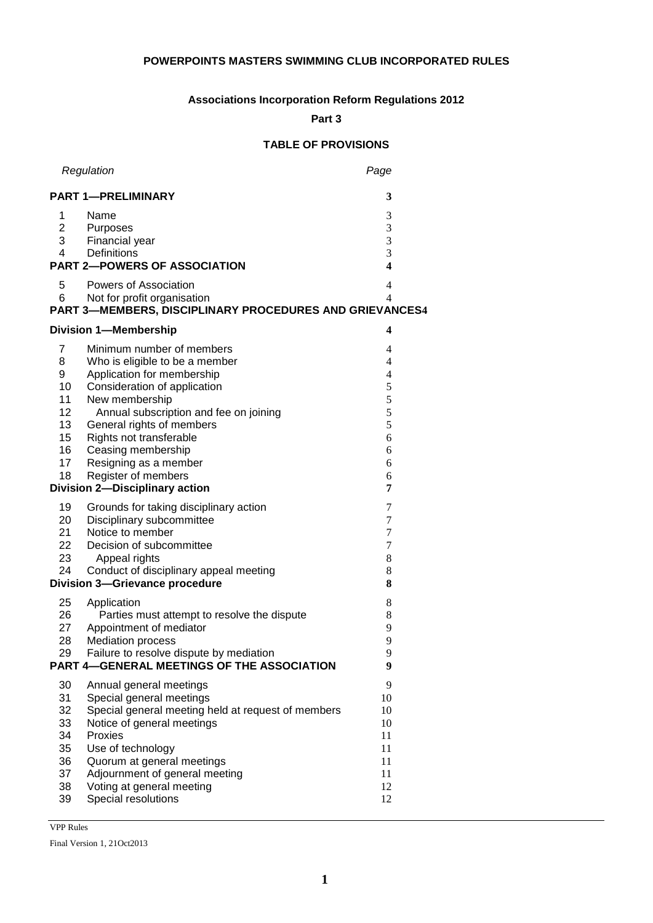# **POWERPOINTS MASTERS SWIMMING CLUB INCORPORATED RULES**

# **Associations Incorporation Reform Regulations 2012**

**Part 3** 

# **TABLE OF PROVISIONS**

|                                                             | Regulation                                                                                                                                                                                                                                                                                                                                                   | Page                                                                  |
|-------------------------------------------------------------|--------------------------------------------------------------------------------------------------------------------------------------------------------------------------------------------------------------------------------------------------------------------------------------------------------------------------------------------------------------|-----------------------------------------------------------------------|
| <b>PART 1-PRELIMINARY</b>                                   | 3                                                                                                                                                                                                                                                                                                                                                            |                                                                       |
| 1<br>$\overline{2}$<br>3 <sup>7</sup><br>4                  | Name<br>Purposes<br>Financial year<br>Definitions<br><b>PART 2-POWERS OF ASSOCIATION</b>                                                                                                                                                                                                                                                                     | 3<br>3<br>3<br>3<br>$\overline{\mathbf{4}}$                           |
| 5<br>6                                                      | Powers of Association<br>Not for profit organisation<br>PART 3-MEMBERS, DISCIPLINARY PROCEDURES AND GRIEVANCES4                                                                                                                                                                                                                                              | $\overline{4}$<br>$\overline{4}$                                      |
|                                                             | <b>Division 1-Membership</b>                                                                                                                                                                                                                                                                                                                                 | 4                                                                     |
| 7<br>8<br>9<br>10<br>11<br>12<br>13<br>15<br>16<br>17<br>18 | Minimum number of members<br>Who is eligible to be a member<br>Application for membership<br>Consideration of application<br>New membership<br>Annual subscription and fee on joining<br>General rights of members<br>Rights not transferable<br>Ceasing membership<br>Resigning as a member<br>Register of members<br><b>Division 2-Disciplinary action</b> | 4<br>4<br>$\overline{4}$<br>5<br>5<br>5<br>5<br>6<br>6<br>6<br>6<br>7 |
| 19<br>20<br>21<br>22<br>23<br>24                            | Grounds for taking disciplinary action<br>Disciplinary subcommittee<br>Notice to member<br>Decision of subcommittee<br>Appeal rights<br>Conduct of disciplinary appeal meeting<br><b>Division 3-Grievance procedure</b>                                                                                                                                      | 7<br>7<br>7<br>7<br>8<br>8<br>8                                       |
| 25<br>26<br>27<br>28<br>29                                  | Application<br>Parties must attempt to resolve the dispute<br>Appointment of mediator<br><b>Mediation process</b><br>Failure to resolve dispute by mediation<br>PART 4-GENERAL MEETINGS OF THE ASSOCIATION                                                                                                                                                   | 8<br>8<br>9<br>9<br>9<br>9                                            |
| 30<br>31<br>32<br>33<br>34<br>35<br>36<br>37<br>38<br>39    | Annual general meetings<br>Special general meetings<br>Special general meeting held at request of members<br>Notice of general meetings<br>Proxies<br>Use of technology<br>Quorum at general meetings<br>Adjournment of general meeting<br>Voting at general meeting<br>Special resolutions                                                                  | 9<br>10<br>10<br>10<br>11<br>11<br>11<br>11<br>12<br>12               |

VPP Rules

Final Version 1, 21Oct2013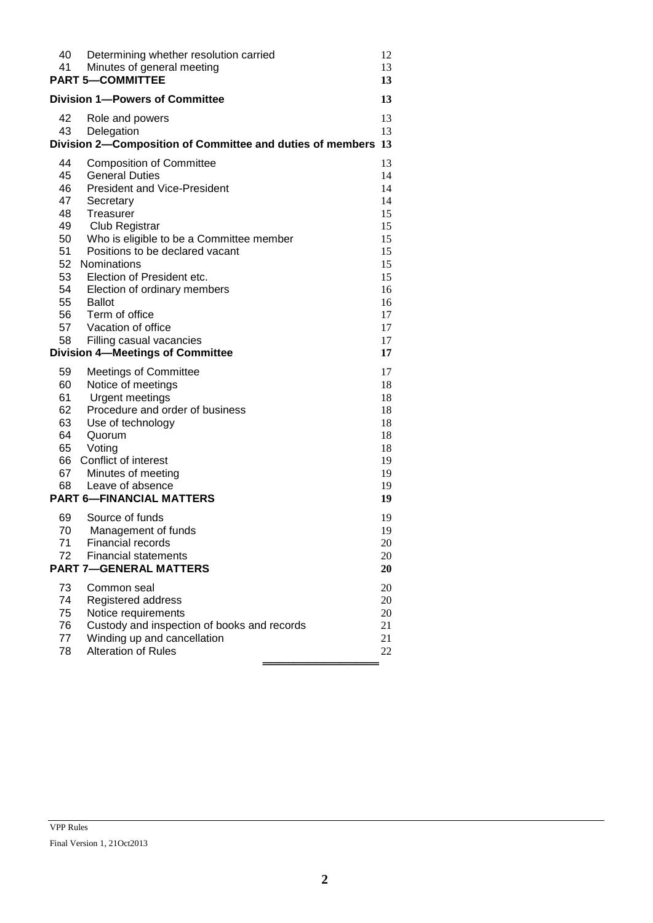| 40<br>41<br><b>PART 5-COMMITTEE</b>                                                                                                                                                         | Determining whether resolution carried<br>Minutes of general meeting                                                                                                                                                                                                                                                 | 12<br>13<br>13                                                                         |  |
|---------------------------------------------------------------------------------------------------------------------------------------------------------------------------------------------|----------------------------------------------------------------------------------------------------------------------------------------------------------------------------------------------------------------------------------------------------------------------------------------------------------------------|----------------------------------------------------------------------------------------|--|
| <b>Division 1-Powers of Committee</b>                                                                                                                                                       |                                                                                                                                                                                                                                                                                                                      | 13                                                                                     |  |
| 42<br>43<br>Delegation                                                                                                                                                                      | Role and powers<br>Division 2-Composition of Committee and duties of members 13                                                                                                                                                                                                                                      | 13<br>13                                                                               |  |
| 44<br><b>General Duties</b><br>45<br>46<br>47<br>Secretary<br>48<br>Treasurer<br>49<br>50<br>51<br>Nominations<br>52<br>53<br>54<br>55<br><b>Ballot</b><br>Term of office<br>56<br>57<br>58 | <b>Composition of Committee</b><br><b>President and Vice-President</b><br>Club Registrar<br>Who is eligible to be a Committee member<br>Positions to be declared vacant<br>Election of President etc.<br>Election of ordinary members<br>Vacation of office<br>Filling casual vacancies                              | 13<br>14<br>14<br>14<br>15<br>15<br>15<br>15<br>15<br>15<br>16<br>16<br>17<br>17<br>17 |  |
| 59<br>60<br>61<br>62<br>63<br>64<br>Quorum<br>Voting<br>65<br>Conflict of interest<br>66<br>67<br>68<br>69<br>70<br>71                                                                      | <b>Division 4-Meetings of Committee</b><br><b>Meetings of Committee</b><br>Notice of meetings<br>Urgent meetings<br>Procedure and order of business<br>Use of technology<br>Minutes of meeting<br>Leave of absence<br><b>PART 6-FINANCIAL MATTERS</b><br>Source of funds<br>Management of funds<br>Financial records | 17<br>17<br>18<br>18<br>18<br>18<br>18<br>18<br>19<br>19<br>19<br>19<br>19<br>19<br>20 |  |
| 72                                                                                                                                                                                          | <b>Financial statements</b><br><b>PART 7-GENERAL MATTERS</b>                                                                                                                                                                                                                                                         | 20<br>20                                                                               |  |
| 73<br>Common seal<br>74<br>75<br>76<br>77<br>78                                                                                                                                             | Registered address<br>Notice requirements<br>Custody and inspection of books and records<br>Winding up and cancellation<br>Alteration of Rules                                                                                                                                                                       | 20<br>20<br>20<br>21<br>21<br>22                                                       |  |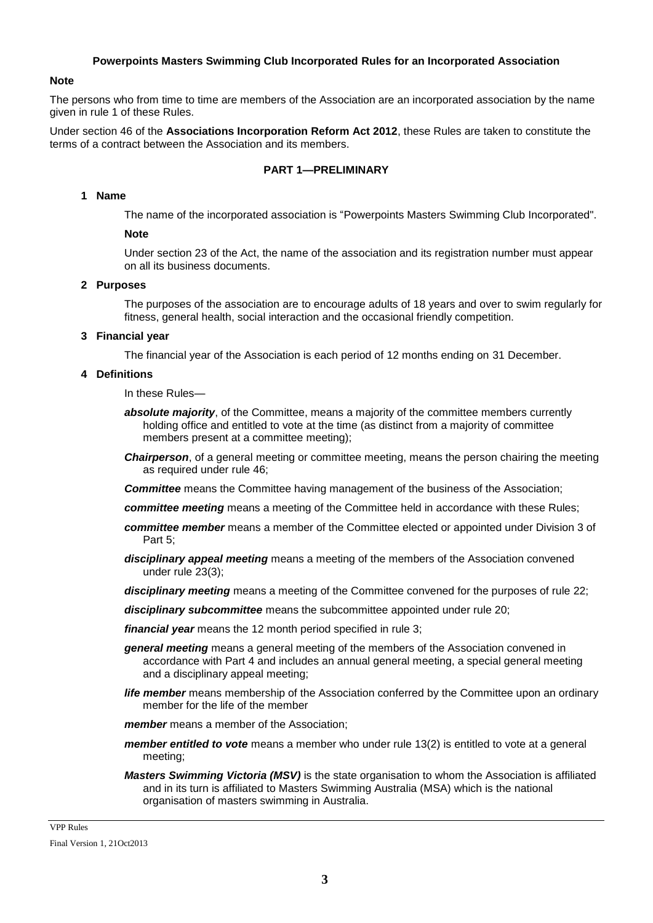### **Powerpoints Masters Swimming Club Incorporated Rules for an Incorporated Association**

#### **Note**

The persons who from time to time are members of the Association are an incorporated association by the name given in rule 1 of these Rules.

Under section 46 of the **Associations Incorporation Reform Act 2012**, these Rules are taken to constitute the terms of a contract between the Association and its members.

#### **PART 1—PRELIMINARY**

#### **1 Name**

The name of the incorporated association is "Powerpoints Masters Swimming Club Incorporated".

### **Note**

Under section 23 of the Act, the name of the association and its registration number must appear on all its business documents.

### **2 Purposes**

The purposes of the association are to encourage adults of 18 years and over to swim regularly for fitness, general health, social interaction and the occasional friendly competition.

#### **3 Financial year**

The financial year of the Association is each period of 12 months ending on 31 December.

### **4 Definitions**

In these Rules—

- **absolute majority**, of the Committee, means a majority of the committee members currently holding office and entitled to vote at the time (as distinct from a majority of committee members present at a committee meeting);
- *Chairperson*, of a general meeting or committee meeting, means the person chairing the meeting as required under rule 46;

**Committee** means the Committee having management of the business of the Association;

- *committee meeting* means a meeting of the Committee held in accordance with these Rules;
- *committee member* means a member of the Committee elected or appointed under Division 3 of Part 5;
- *disciplinary appeal meeting* means a meeting of the members of the Association convened under rule 23(3);

*disciplinary meeting* means a meeting of the Committee convened for the purposes of rule 22;

*disciplinary subcommittee* means the subcommittee appointed under rule 20;

*financial year* means the 12 month period specified in rule 3;

- *general meeting* means a general meeting of the members of the Association convened in accordance with Part 4 and includes an annual general meeting, a special general meeting and a disciplinary appeal meeting;
- *life member* means membership of the Association conferred by the Committee upon an ordinary member for the life of the member

*member* means a member of the Association;

- *member entitled to vote* means a member who under rule 13(2) is entitled to vote at a general meeting;
- *Masters Swimming Victoria (MSV)* is the state organisation to whom the Association is affiliated and in its turn is affiliated to Masters Swimming Australia (MSA) which is the national organisation of masters swimming in Australia.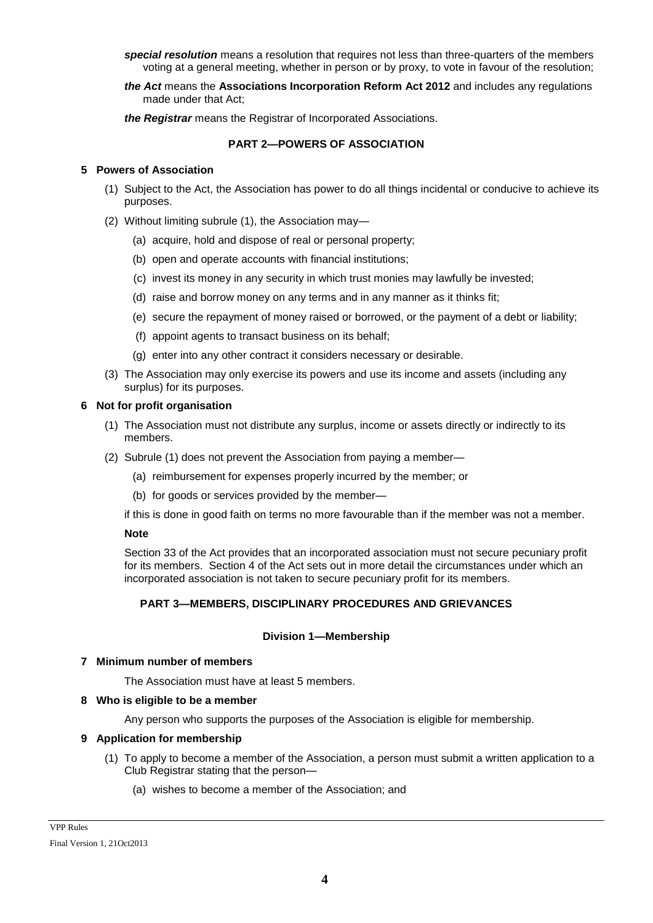*special resolution* means a resolution that requires not less than three-quarters of the members voting at a general meeting, whether in person or by proxy, to vote in favour of the resolution;

*the Act* means the **Associations Incorporation Reform Act 2012** and includes any regulations made under that Act;

*the Registrar* means the Registrar of Incorporated Associations.

# **PART 2—POWERS OF ASSOCIATION**

## **5 Powers of Association**

- (1) Subject to the Act, the Association has power to do all things incidental or conducive to achieve its purposes.
- (2) Without limiting subrule (1), the Association may—
	- (a) acquire, hold and dispose of real or personal property;
	- (b) open and operate accounts with financial institutions;
	- (c) invest its money in any security in which trust monies may lawfully be invested;
	- (d) raise and borrow money on any terms and in any manner as it thinks fit;
	- (e) secure the repayment of money raised or borrowed, or the payment of a debt or liability;
	- (f) appoint agents to transact business on its behalf;
	- (g) enter into any other contract it considers necessary or desirable.
- (3) The Association may only exercise its powers and use its income and assets (including any surplus) for its purposes.

#### **6 Not for profit organisation**

- (1) The Association must not distribute any surplus, income or assets directly or indirectly to its members.
- (2) Subrule (1) does not prevent the Association from paying a member—
	- (a) reimbursement for expenses properly incurred by the member; or
	- (b) for goods or services provided by the member—

if this is done in good faith on terms no more favourable than if the member was not a member.

#### **Note**

Section 33 of the Act provides that an incorporated association must not secure pecuniary profit for its members. Section 4 of the Act sets out in more detail the circumstances under which an incorporated association is not taken to secure pecuniary profit for its members.

# **PART 3—MEMBERS, DISCIPLINARY PROCEDURES AND GRIEVANCES**

# **Division 1—Membership**

#### **7 Minimum number of members**

The Association must have at least 5 members.

#### **8 Who is eligible to be a member**

Any person who supports the purposes of the Association is eligible for membership.

# **9 Application for membership**

- (1) To apply to become a member of the Association, a person must submit a written application to a Club Registrar stating that the person—
	- (a) wishes to become a member of the Association; and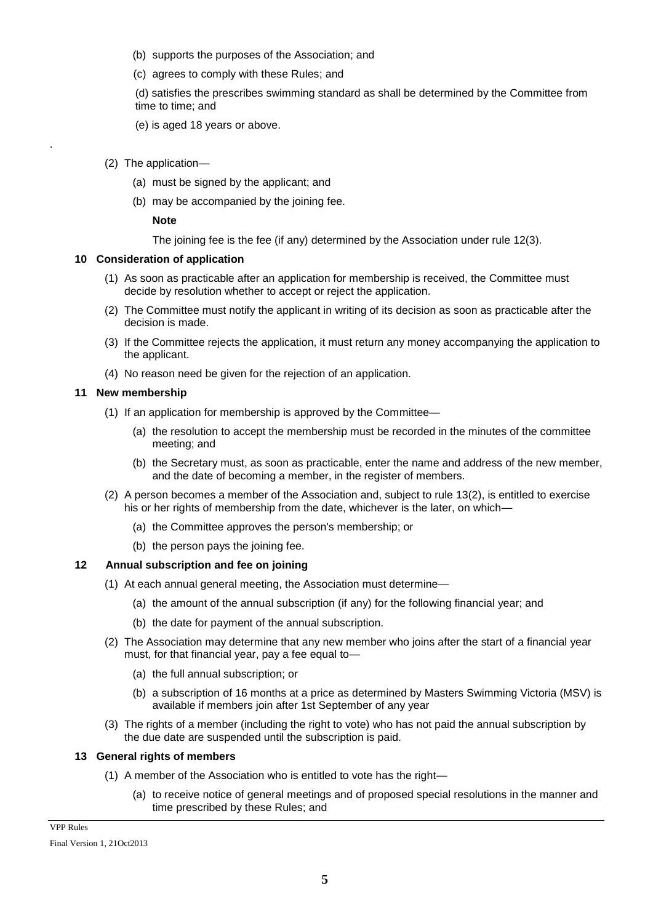- (b) supports the purposes of the Association; and
- (c) agrees to comply with these Rules; and

(d) satisfies the prescribes swimming standard as shall be determined by the Committee from time to time; and

- (e) is aged 18 years or above.
- (2) The application—

.

- (a) must be signed by the applicant; and
- (b) may be accompanied by the joining fee.

**Note**

The joining fee is the fee (if any) determined by the Association under rule 12(3).

### **10 Consideration of application**

- (1) As soon as practicable after an application for membership is received, the Committee must decide by resolution whether to accept or reject the application.
- (2) The Committee must notify the applicant in writing of its decision as soon as practicable after the decision is made.
- (3) If the Committee rejects the application, it must return any money accompanying the application to the applicant.
- (4) No reason need be given for the rejection of an application.

### **11 New membership**

- (1) If an application for membership is approved by the Committee—
	- (a) the resolution to accept the membership must be recorded in the minutes of the committee meeting; and
	- (b) the Secretary must, as soon as practicable, enter the name and address of the new member, and the date of becoming a member, in the register of members.
- (2) A person becomes a member of the Association and, subject to rule 13(2), is entitled to exercise his or her rights of membership from the date, whichever is the later, on which—
	- (a) the Committee approves the person's membership; or
	- (b) the person pays the joining fee.

# **12 Annual subscription and fee on joining**

- (1) At each annual general meeting, the Association must determine—
	- (a) the amount of the annual subscription (if any) for the following financial year; and
	- (b) the date for payment of the annual subscription.
- (2) The Association may determine that any new member who joins after the start of a financial year must, for that financial year, pay a fee equal to—
	- (a) the full annual subscription; or
	- (b) a subscription of 16 months at a price as determined by Masters Swimming Victoria (MSV) is available if members join after 1st September of any year
- (3) The rights of a member (including the right to vote) who has not paid the annual subscription by the due date are suspended until the subscription is paid.

# **13 General rights of members**

- (1) A member of the Association who is entitled to vote has the right—
	- (a) to receive notice of general meetings and of proposed special resolutions in the manner and time prescribed by these Rules; and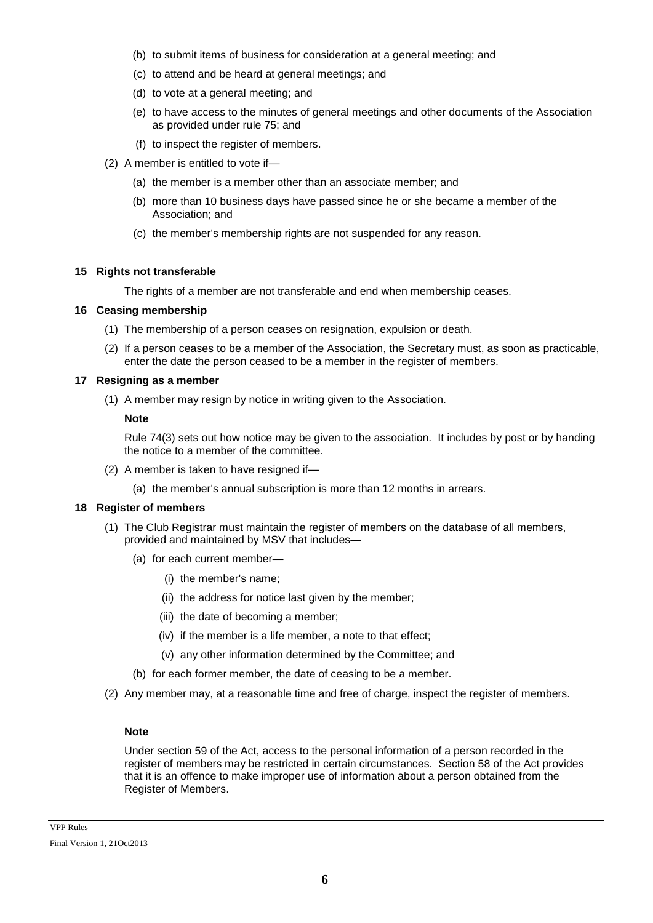- (b) to submit items of business for consideration at a general meeting; and
- (c) to attend and be heard at general meetings; and
- (d) to vote at a general meeting; and
- (e) to have access to the minutes of general meetings and other documents of the Association as provided under rule 75; and
- (f) to inspect the register of members.
- (2) A member is entitled to vote if—
	- (a) the member is a member other than an associate member; and
	- (b) more than 10 business days have passed since he or she became a member of the Association; and
	- (c) the member's membership rights are not suspended for any reason.

### **15 Rights not transferable**

The rights of a member are not transferable and end when membership ceases.

### **16 Ceasing membership**

- (1) The membership of a person ceases on resignation, expulsion or death.
- (2) If a person ceases to be a member of the Association, the Secretary must, as soon as practicable, enter the date the person ceased to be a member in the register of members.

### **17 Resigning as a member**

(1) A member may resign by notice in writing given to the Association.

### **Note**

Rule 74(3) sets out how notice may be given to the association. It includes by post or by handing the notice to a member of the committee.

- (2) A member is taken to have resigned if—
	- (a) the member's annual subscription is more than 12 months in arrears.

# **18 Register of members**

- (1) The Club Registrar must maintain the register of members on the database of all members, provided and maintained by MSV that includes—
	- (a) for each current member—
		- (i) the member's name;
		- (ii) the address for notice last given by the member;
		- (iii) the date of becoming a member;
		- (iv) if the member is a life member, a note to that effect;
		- (v) any other information determined by the Committee; and
	- (b) for each former member, the date of ceasing to be a member.
- (2) Any member may, at a reasonable time and free of charge, inspect the register of members.

#### **Note**

Under section 59 of the Act, access to the personal information of a person recorded in the register of members may be restricted in certain circumstances. Section 58 of the Act provides that it is an offence to make improper use of information about a person obtained from the Register of Members.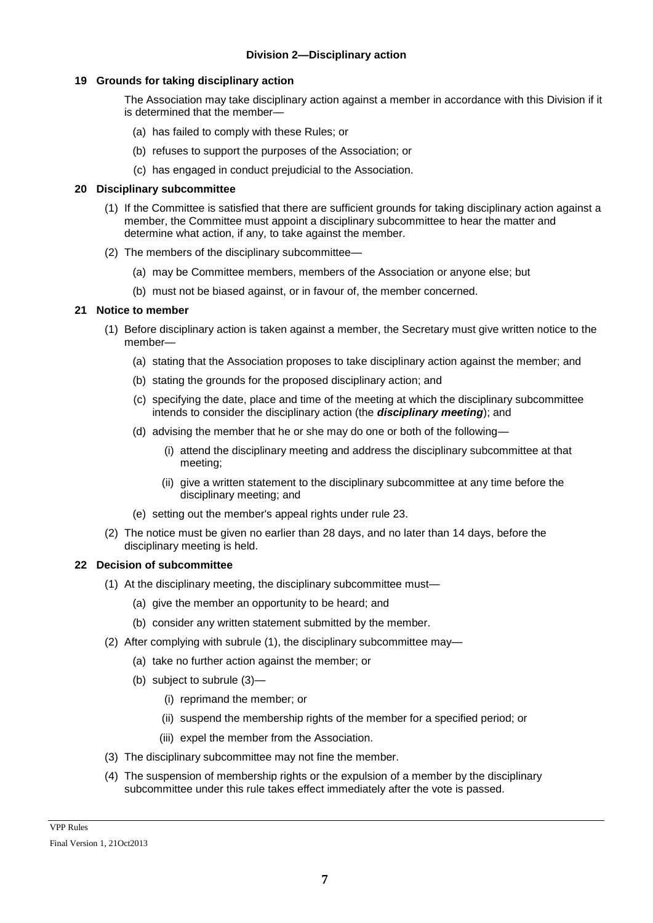## **19 Grounds for taking disciplinary action**

The Association may take disciplinary action against a member in accordance with this Division if it is determined that the member—

- (a) has failed to comply with these Rules; or
- (b) refuses to support the purposes of the Association; or
- (c) has engaged in conduct prejudicial to the Association.

### **20 Disciplinary subcommittee**

- (1) If the Committee is satisfied that there are sufficient grounds for taking disciplinary action against a member, the Committee must appoint a disciplinary subcommittee to hear the matter and determine what action, if any, to take against the member.
- (2) The members of the disciplinary subcommittee—
	- (a) may be Committee members, members of the Association or anyone else; but
	- (b) must not be biased against, or in favour of, the member concerned.

# **21 Notice to member**

- (1) Before disciplinary action is taken against a member, the Secretary must give written notice to the member—
	- (a) stating that the Association proposes to take disciplinary action against the member; and
	- (b) stating the grounds for the proposed disciplinary action; and
	- (c) specifying the date, place and time of the meeting at which the disciplinary subcommittee intends to consider the disciplinary action (the *disciplinary meeting*); and
	- (d) advising the member that he or she may do one or both of the following—
		- (i) attend the disciplinary meeting and address the disciplinary subcommittee at that meeting;
		- (ii) give a written statement to the disciplinary subcommittee at any time before the disciplinary meeting; and
	- (e) setting out the member's appeal rights under rule 23.
- (2) The notice must be given no earlier than 28 days, and no later than 14 days, before the disciplinary meeting is held.

#### **22 Decision of subcommittee**

- (1) At the disciplinary meeting, the disciplinary subcommittee must—
	- (a) give the member an opportunity to be heard; and
	- (b) consider any written statement submitted by the member.
- (2) After complying with subrule (1), the disciplinary subcommittee may—
	- (a) take no further action against the member; or
	- (b) subject to subrule (3)—
		- (i) reprimand the member; or
		- (ii) suspend the membership rights of the member for a specified period; or
		- (iii) expel the member from the Association.
- (3) The disciplinary subcommittee may not fine the member.
- (4) The suspension of membership rights or the expulsion of a member by the disciplinary subcommittee under this rule takes effect immediately after the vote is passed.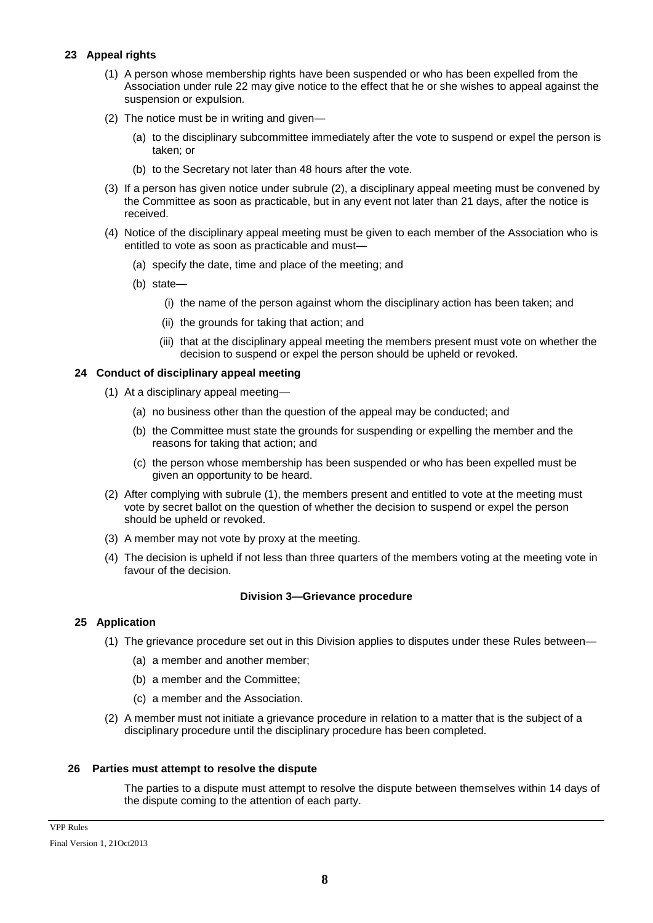# **23 Appeal rights**

- (1) A person whose membership rights have been suspended or who has been expelled from the Association under rule 22 may give notice to the effect that he or she wishes to appeal against the suspension or expulsion.
- (2) The notice must be in writing and given—
	- (a) to the disciplinary subcommittee immediately after the vote to suspend or expel the person is taken; or
	- (b) to the Secretary not later than 48 hours after the vote.
- (3) If a person has given notice under subrule (2), a disciplinary appeal meeting must be convened by the Committee as soon as practicable, but in any event not later than 21 days, after the notice is received.
- (4) Notice of the disciplinary appeal meeting must be given to each member of the Association who is entitled to vote as soon as practicable and must—
	- (a) specify the date, time and place of the meeting; and
	- (b) state—
		- (i) the name of the person against whom the disciplinary action has been taken; and
		- (ii) the grounds for taking that action; and
		- (iii) that at the disciplinary appeal meeting the members present must vote on whether the decision to suspend or expel the person should be upheld or revoked.

# **24 Conduct of disciplinary appeal meeting**

- (1) At a disciplinary appeal meeting—
	- (a) no business other than the question of the appeal may be conducted; and
	- (b) the Committee must state the grounds for suspending or expelling the member and the reasons for taking that action; and
	- (c) the person whose membership has been suspended or who has been expelled must be given an opportunity to be heard.
- (2) After complying with subrule (1), the members present and entitled to vote at the meeting must vote by secret ballot on the question of whether the decision to suspend or expel the person should be upheld or revoked.
- (3) A member may not vote by proxy at the meeting.
- (4) The decision is upheld if not less than three quarters of the members voting at the meeting vote in favour of the decision.

# **Division 3—Grievance procedure**

# **25 Application**

- (1) The grievance procedure set out in this Division applies to disputes under these Rules between—
	- (a) a member and another member;
	- (b) a member and the Committee;
	- (c) a member and the Association.
- (2) A member must not initiate a grievance procedure in relation to a matter that is the subject of a disciplinary procedure until the disciplinary procedure has been completed.

#### **26 Parties must attempt to resolve the dispute**

The parties to a dispute must attempt to resolve the dispute between themselves within 14 days of the dispute coming to the attention of each party.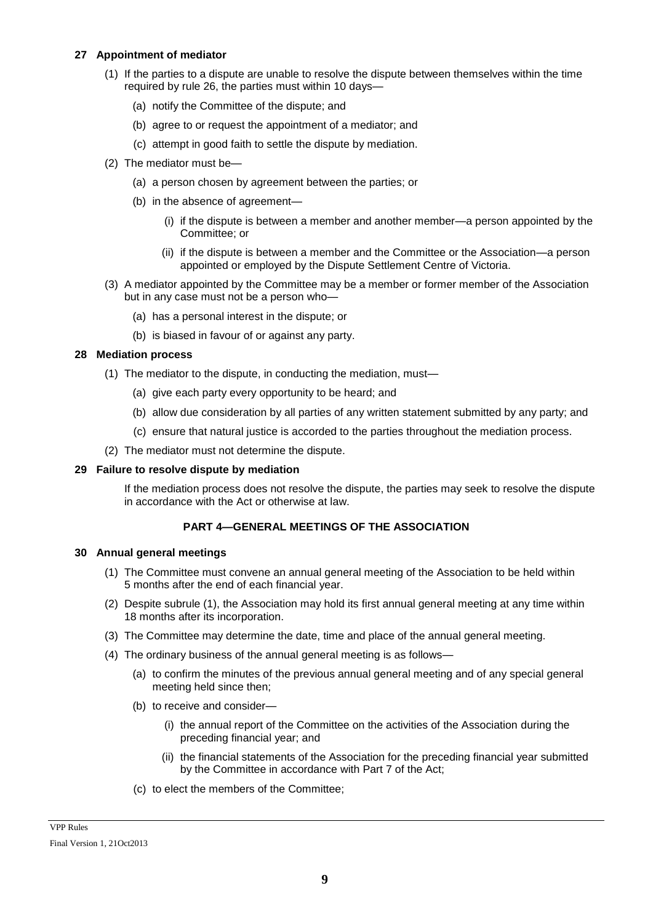## **27 Appointment of mediator**

- (1) If the parties to a dispute are unable to resolve the dispute between themselves within the time required by rule 26, the parties must within 10 days—
	- (a) notify the Committee of the dispute; and
	- (b) agree to or request the appointment of a mediator; and
	- (c) attempt in good faith to settle the dispute by mediation.
- (2) The mediator must be—
	- (a) a person chosen by agreement between the parties; or
	- (b) in the absence of agreement—
		- (i) if the dispute is between a member and another member—a person appointed by the Committee; or
		- (ii) if the dispute is between a member and the Committee or the Association—a person appointed or employed by the Dispute Settlement Centre of Victoria.
- (3) A mediator appointed by the Committee may be a member or former member of the Association but in any case must not be a person who—
	- (a) has a personal interest in the dispute; or
	- (b) is biased in favour of or against any party.

### **28 Mediation process**

- (1) The mediator to the dispute, in conducting the mediation, must—
	- (a) give each party every opportunity to be heard; and
	- (b) allow due consideration by all parties of any written statement submitted by any party; and
	- (c) ensure that natural justice is accorded to the parties throughout the mediation process.
- (2) The mediator must not determine the dispute.

# **29 Failure to resolve dispute by mediation**

If the mediation process does not resolve the dispute, the parties may seek to resolve the dispute in accordance with the Act or otherwise at law.

# **PART 4—GENERAL MEETINGS OF THE ASSOCIATION**

#### **30 Annual general meetings**

- (1) The Committee must convene an annual general meeting of the Association to be held within 5 months after the end of each financial year.
- (2) Despite subrule (1), the Association may hold its first annual general meeting at any time within 18 months after its incorporation.
- (3) The Committee may determine the date, time and place of the annual general meeting.
- (4) The ordinary business of the annual general meeting is as follows—
	- (a) to confirm the minutes of the previous annual general meeting and of any special general meeting held since then;
	- (b) to receive and consider—
		- (i) the annual report of the Committee on the activities of the Association during the preceding financial year; and
		- (ii) the financial statements of the Association for the preceding financial year submitted by the Committee in accordance with Part 7 of the Act;
	- (c) to elect the members of the Committee;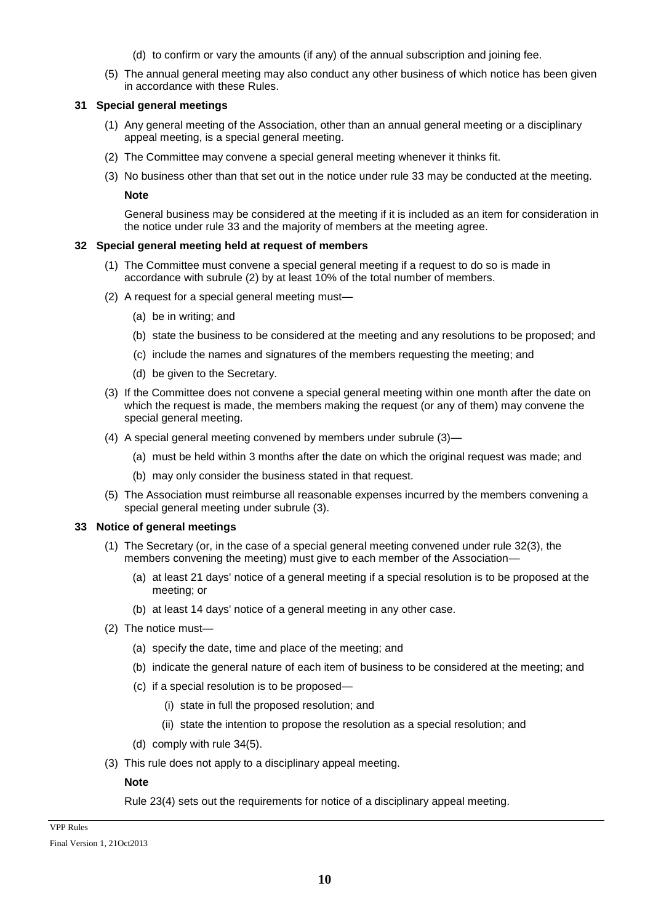- (d) to confirm or vary the amounts (if any) of the annual subscription and joining fee.
- (5) The annual general meeting may also conduct any other business of which notice has been given in accordance with these Rules.

## **31 Special general meetings**

- (1) Any general meeting of the Association, other than an annual general meeting or a disciplinary appeal meeting, is a special general meeting.
- (2) The Committee may convene a special general meeting whenever it thinks fit.
- (3) No business other than that set out in the notice under rule 33 may be conducted at the meeting.

**Note**

General business may be considered at the meeting if it is included as an item for consideration in the notice under rule 33 and the majority of members at the meeting agree.

### **32 Special general meeting held at request of members**

- (1) The Committee must convene a special general meeting if a request to do so is made in accordance with subrule (2) by at least 10% of the total number of members.
- (2) A request for a special general meeting must—
	- (a) be in writing; and
	- (b) state the business to be considered at the meeting and any resolutions to be proposed; and
	- (c) include the names and signatures of the members requesting the meeting; and
	- (d) be given to the Secretary.
- (3) If the Committee does not convene a special general meeting within one month after the date on which the request is made, the members making the request (or any of them) may convene the special general meeting.
- (4) A special general meeting convened by members under subrule (3)—
	- (a) must be held within 3 months after the date on which the original request was made; and
	- (b) may only consider the business stated in that request.
- (5) The Association must reimburse all reasonable expenses incurred by the members convening a special general meeting under subrule (3).

# **33 Notice of general meetings**

- (1) The Secretary (or, in the case of a special general meeting convened under rule 32(3), the members convening the meeting) must give to each member of the Association—
	- (a) at least 21 days' notice of a general meeting if a special resolution is to be proposed at the meeting; or
	- (b) at least 14 days' notice of a general meeting in any other case.
- (2) The notice must—
	- (a) specify the date, time and place of the meeting; and
	- (b) indicate the general nature of each item of business to be considered at the meeting; and
	- (c) if a special resolution is to be proposed—
		- (i) state in full the proposed resolution; and
		- (ii) state the intention to propose the resolution as a special resolution; and
	- (d) comply with rule 34(5).
- (3) This rule does not apply to a disciplinary appeal meeting.

# **Note**

Rule 23(4) sets out the requirements for notice of a disciplinary appeal meeting.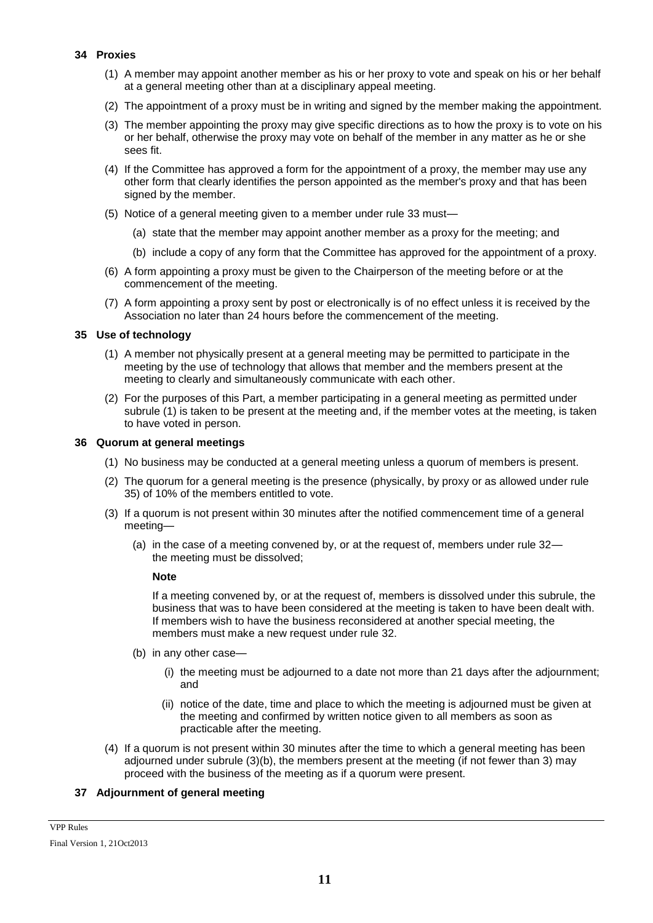### **34 Proxies**

- (1) A member may appoint another member as his or her proxy to vote and speak on his or her behalf at a general meeting other than at a disciplinary appeal meeting.
- (2) The appointment of a proxy must be in writing and signed by the member making the appointment.
- (3) The member appointing the proxy may give specific directions as to how the proxy is to vote on his or her behalf, otherwise the proxy may vote on behalf of the member in any matter as he or she sees fit.
- (4) If the Committee has approved a form for the appointment of a proxy, the member may use any other form that clearly identifies the person appointed as the member's proxy and that has been signed by the member.
- (5) Notice of a general meeting given to a member under rule 33 must—
	- (a) state that the member may appoint another member as a proxy for the meeting; and
	- (b) include a copy of any form that the Committee has approved for the appointment of a proxy.
- (6) A form appointing a proxy must be given to the Chairperson of the meeting before or at the commencement of the meeting.
- (7) A form appointing a proxy sent by post or electronically is of no effect unless it is received by the Association no later than 24 hours before the commencement of the meeting.

### **35 Use of technology**

- (1) A member not physically present at a general meeting may be permitted to participate in the meeting by the use of technology that allows that member and the members present at the meeting to clearly and simultaneously communicate with each other.
- (2) For the purposes of this Part, a member participating in a general meeting as permitted under subrule (1) is taken to be present at the meeting and, if the member votes at the meeting, is taken to have voted in person.

### **36 Quorum at general meetings**

- (1) No business may be conducted at a general meeting unless a quorum of members is present.
- (2) The quorum for a general meeting is the presence (physically, by proxy or as allowed under rule 35) of 10% of the members entitled to vote.
- (3) If a quorum is not present within 30 minutes after the notified commencement time of a general meeting—
	- (a) in the case of a meeting convened by, or at the request of, members under rule 32 the meeting must be dissolved;

#### **Note**

If a meeting convened by, or at the request of, members is dissolved under this subrule, the business that was to have been considered at the meeting is taken to have been dealt with. If members wish to have the business reconsidered at another special meeting, the members must make a new request under rule 32.

- (b) in any other case—
	- (i) the meeting must be adjourned to a date not more than 21 days after the adjournment; and
	- (ii) notice of the date, time and place to which the meeting is adjourned must be given at the meeting and confirmed by written notice given to all members as soon as practicable after the meeting.
- (4) If a quorum is not present within 30 minutes after the time to which a general meeting has been adjourned under subrule (3)(b), the members present at the meeting (if not fewer than 3) may proceed with the business of the meeting as if a quorum were present.

# **37 Adjournment of general meeting**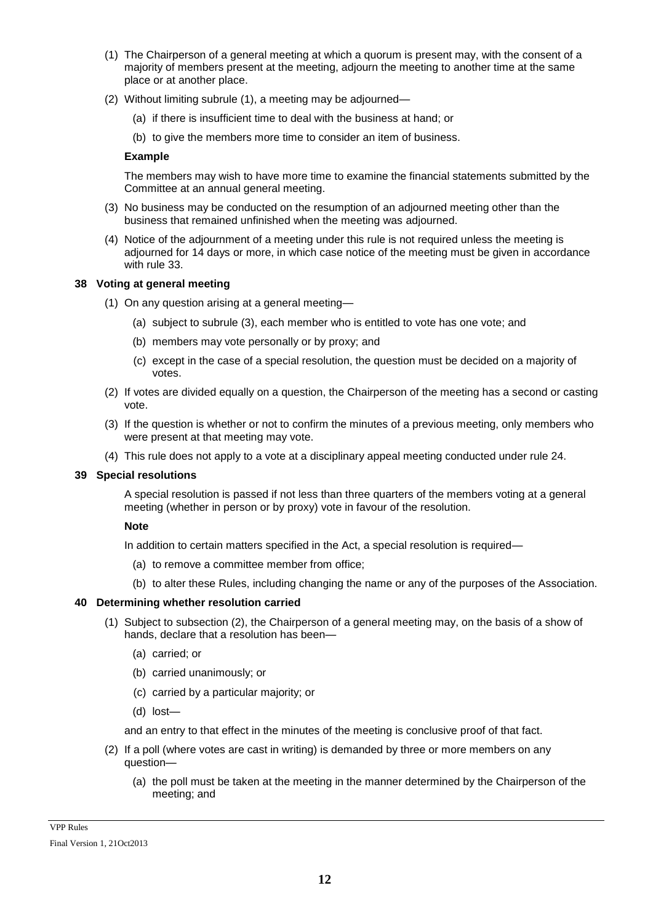- (1) The Chairperson of a general meeting at which a quorum is present may, with the consent of a majority of members present at the meeting, adjourn the meeting to another time at the same place or at another place.
- (2) Without limiting subrule (1), a meeting may be adjourned—
	- (a) if there is insufficient time to deal with the business at hand; or
	- (b) to give the members more time to consider an item of business.

## **Example**

The members may wish to have more time to examine the financial statements submitted by the Committee at an annual general meeting.

- (3) No business may be conducted on the resumption of an adjourned meeting other than the business that remained unfinished when the meeting was adjourned.
- (4) Notice of the adjournment of a meeting under this rule is not required unless the meeting is adjourned for 14 days or more, in which case notice of the meeting must be given in accordance with rule 33.

### **38 Voting at general meeting**

- (1) On any question arising at a general meeting—
	- (a) subject to subrule (3), each member who is entitled to vote has one vote; and
	- (b) members may vote personally or by proxy; and
	- (c) except in the case of a special resolution, the question must be decided on a majority of votes.
- (2) If votes are divided equally on a question, the Chairperson of the meeting has a second or casting vote.
- (3) If the question is whether or not to confirm the minutes of a previous meeting, only members who were present at that meeting may vote.
- (4) This rule does not apply to a vote at a disciplinary appeal meeting conducted under rule 24.

#### **39 Special resolutions**

A special resolution is passed if not less than three quarters of the members voting at a general meeting (whether in person or by proxy) vote in favour of the resolution.

#### **Note**

In addition to certain matters specified in the Act, a special resolution is required—

- (a) to remove a committee member from office;
- (b) to alter these Rules, including changing the name or any of the purposes of the Association.

# **40 Determining whether resolution carried**

- (1) Subject to subsection (2), the Chairperson of a general meeting may, on the basis of a show of hands, declare that a resolution has been—
	- (a) carried; or
	- (b) carried unanimously; or
	- (c) carried by a particular majority; or
	- (d) lost—

and an entry to that effect in the minutes of the meeting is conclusive proof of that fact.

- (2) If a poll (where votes are cast in writing) is demanded by three or more members on any question—
	- (a) the poll must be taken at the meeting in the manner determined by the Chairperson of the meeting; and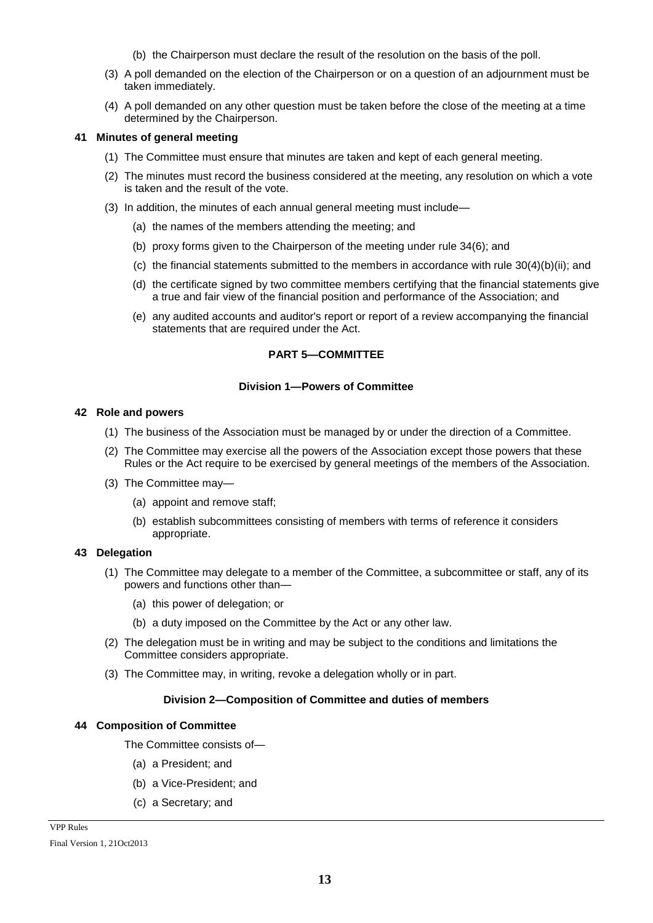- (b) the Chairperson must declare the result of the resolution on the basis of the poll.
- (3) A poll demanded on the election of the Chairperson or on a question of an adjournment must be taken immediately.
- (4) A poll demanded on any other question must be taken before the close of the meeting at a time determined by the Chairperson.

## **41 Minutes of general meeting**

- (1) The Committee must ensure that minutes are taken and kept of each general meeting.
- (2) The minutes must record the business considered at the meeting, any resolution on which a vote is taken and the result of the vote.
- (3) In addition, the minutes of each annual general meeting must include—
	- (a) the names of the members attending the meeting; and
	- (b) proxy forms given to the Chairperson of the meeting under rule 34(6); and
	- (c) the financial statements submitted to the members in accordance with rule  $30(4)(b)(ii)$ ; and
	- (d) the certificate signed by two committee members certifying that the financial statements give a true and fair view of the financial position and performance of the Association; and
	- (e) any audited accounts and auditor's report or report of a review accompanying the financial statements that are required under the Act.

# **PART 5—COMMITTEE**

### **Division 1—Powers of Committee**

### **42 Role and powers**

- (1) The business of the Association must be managed by or under the direction of a Committee.
- (2) The Committee may exercise all the powers of the Association except those powers that these Rules or the Act require to be exercised by general meetings of the members of the Association.
- (3) The Committee may—
	- (a) appoint and remove staff;
	- (b) establish subcommittees consisting of members with terms of reference it considers appropriate.

# **43 Delegation**

- (1) The Committee may delegate to a member of the Committee, a subcommittee or staff, any of its powers and functions other than—
	- (a) this power of delegation; or
	- (b) a duty imposed on the Committee by the Act or any other law.
- (2) The delegation must be in writing and may be subject to the conditions and limitations the Committee considers appropriate.
- (3) The Committee may, in writing, revoke a delegation wholly or in part.

# **Division 2—Composition of Committee and duties of members**

# **44 Composition of Committee**

The Committee consists of—

- (a) a President; and
- (b) a Vice-President; and
- (c) a Secretary; and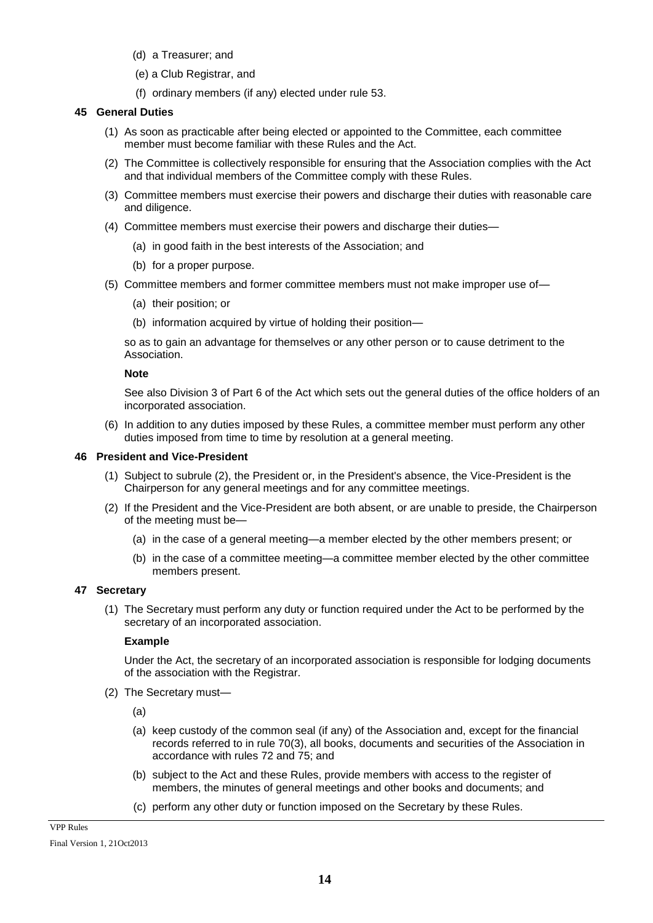- (d) a Treasurer; and
- (e) a Club Registrar, and
- (f) ordinary members (if any) elected under rule 53.

### **45 General Duties**

- (1) As soon as practicable after being elected or appointed to the Committee, each committee member must become familiar with these Rules and the Act.
- (2) The Committee is collectively responsible for ensuring that the Association complies with the Act and that individual members of the Committee comply with these Rules.
- (3) Committee members must exercise their powers and discharge their duties with reasonable care and diligence.
- (4) Committee members must exercise their powers and discharge their duties—
	- (a) in good faith in the best interests of the Association; and
	- (b) for a proper purpose.
- (5) Committee members and former committee members must not make improper use of—
	- (a) their position; or
	- (b) information acquired by virtue of holding their position—

so as to gain an advantage for themselves or any other person or to cause detriment to the Association.

#### **Note**

See also Division 3 of Part 6 of the Act which sets out the general duties of the office holders of an incorporated association.

(6) In addition to any duties imposed by these Rules, a committee member must perform any other duties imposed from time to time by resolution at a general meeting.

#### **46 President and Vice-President**

- (1) Subject to subrule (2), the President or, in the President's absence, the Vice-President is the Chairperson for any general meetings and for any committee meetings.
- (2) If the President and the Vice-President are both absent, or are unable to preside, the Chairperson of the meeting must be—
	- (a) in the case of a general meeting—a member elected by the other members present; or
	- (b) in the case of a committee meeting—a committee member elected by the other committee members present.

# **47 Secretary**

(1) The Secretary must perform any duty or function required under the Act to be performed by the secretary of an incorporated association.

#### **Example**

Under the Act, the secretary of an incorporated association is responsible for lodging documents of the association with the Registrar.

(2) The Secretary must—

(a)

- (a) keep custody of the common seal (if any) of the Association and, except for the financial records referred to in rule 70(3), all books, documents and securities of the Association in accordance with rules 72 and 75; and
- (b) subject to the Act and these Rules, provide members with access to the register of members, the minutes of general meetings and other books and documents; and
- (c) perform any other duty or function imposed on the Secretary by these Rules.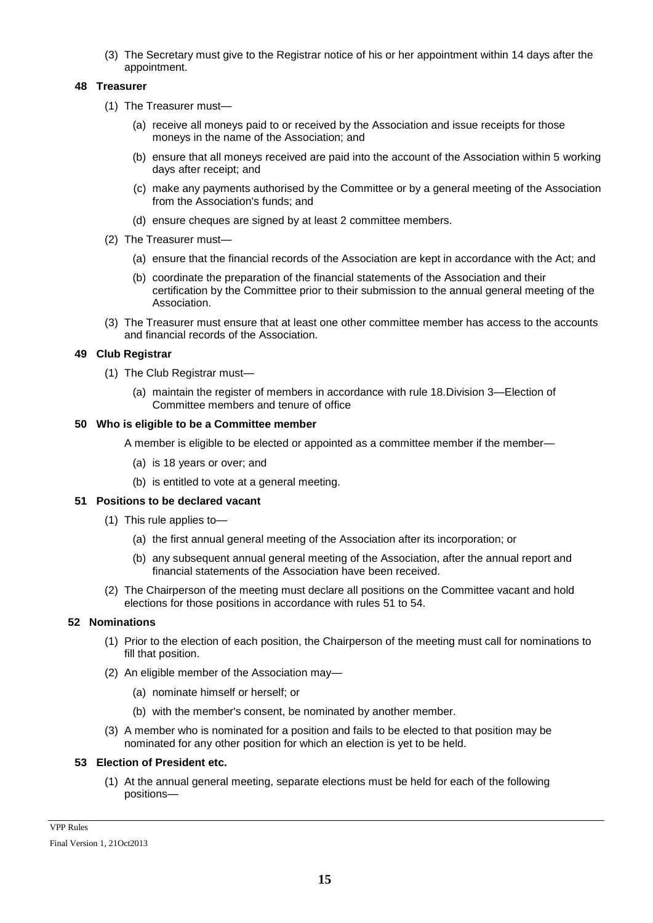(3) The Secretary must give to the Registrar notice of his or her appointment within 14 days after the appointment.

### **48 Treasurer**

- (1) The Treasurer must—
	- (a) receive all moneys paid to or received by the Association and issue receipts for those moneys in the name of the Association; and
	- (b) ensure that all moneys received are paid into the account of the Association within 5 working days after receipt; and
	- (c) make any payments authorised by the Committee or by a general meeting of the Association from the Association's funds; and
	- (d) ensure cheques are signed by at least 2 committee members.
- (2) The Treasurer must—
	- (a) ensure that the financial records of the Association are kept in accordance with the Act; and
	- (b) coordinate the preparation of the financial statements of the Association and their certification by the Committee prior to their submission to the annual general meeting of the Association.
- (3) The Treasurer must ensure that at least one other committee member has access to the accounts and financial records of the Association.

### **49 Club Registrar**

- (1) The Club Registrar must—
	- (a) maintain the register of members in accordance with rule 18.Division 3—Election of Committee members and tenure of office

### **50 Who is eligible to be a Committee member**

A member is eligible to be elected or appointed as a committee member if the member—

- (a) is 18 years or over; and
- (b) is entitled to vote at a general meeting.

### **51 Positions to be declared vacant**

- (1) This rule applies to—
	- (a) the first annual general meeting of the Association after its incorporation; or
	- (b) any subsequent annual general meeting of the Association, after the annual report and financial statements of the Association have been received.
- (2) The Chairperson of the meeting must declare all positions on the Committee vacant and hold elections for those positions in accordance with rules 51 to 54.

#### **52 Nominations**

- (1) Prior to the election of each position, the Chairperson of the meeting must call for nominations to fill that position.
- (2) An eligible member of the Association may—
	- (a) nominate himself or herself; or
	- (b) with the member's consent, be nominated by another member.
- (3) A member who is nominated for a position and fails to be elected to that position may be nominated for any other position for which an election is yet to be held.

#### **53 Election of President etc.**

(1) At the annual general meeting, separate elections must be held for each of the following positions—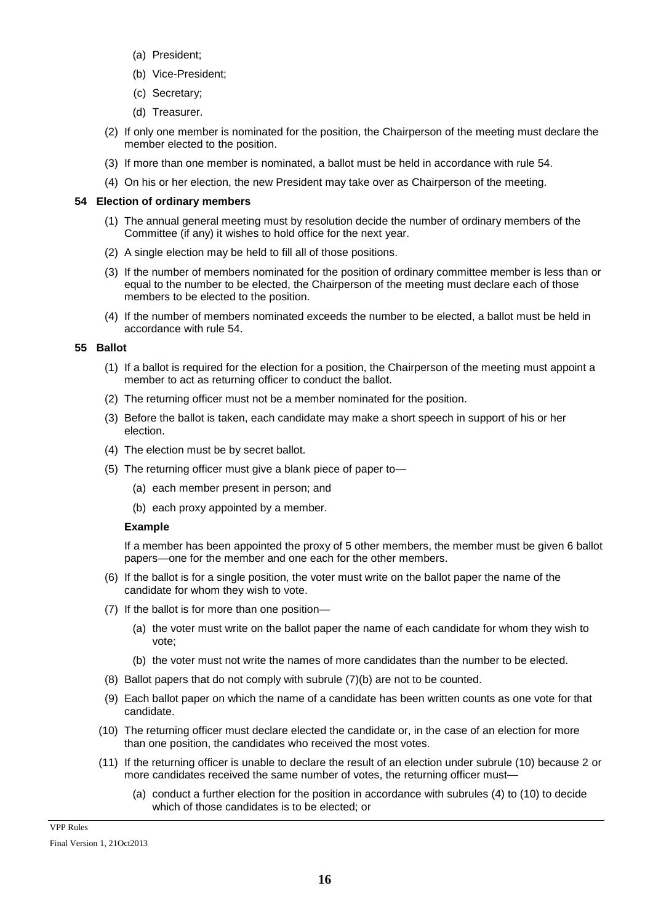- (a) President;
- (b) Vice-President;
- (c) Secretary;
- (d) Treasurer.
- (2) If only one member is nominated for the position, the Chairperson of the meeting must declare the member elected to the position.
- (3) If more than one member is nominated, a ballot must be held in accordance with rule 54.
- (4) On his or her election, the new President may take over as Chairperson of the meeting.

### **54 Election of ordinary members**

- (1) The annual general meeting must by resolution decide the number of ordinary members of the Committee (if any) it wishes to hold office for the next year.
- (2) A single election may be held to fill all of those positions.
- (3) If the number of members nominated for the position of ordinary committee member is less than or equal to the number to be elected, the Chairperson of the meeting must declare each of those members to be elected to the position.
- (4) If the number of members nominated exceeds the number to be elected, a ballot must be held in accordance with rule 54.

### **55 Ballot**

- (1) If a ballot is required for the election for a position, the Chairperson of the meeting must appoint a member to act as returning officer to conduct the ballot.
- (2) The returning officer must not be a member nominated for the position.
- (3) Before the ballot is taken, each candidate may make a short speech in support of his or her election.
- (4) The election must be by secret ballot.
- (5) The returning officer must give a blank piece of paper to—
	- (a) each member present in person; and
	- (b) each proxy appointed by a member.

#### **Example**

If a member has been appointed the proxy of 5 other members, the member must be given 6 ballot papers—one for the member and one each for the other members.

- (6) If the ballot is for a single position, the voter must write on the ballot paper the name of the candidate for whom they wish to vote.
- (7) If the ballot is for more than one position—
	- (a) the voter must write on the ballot paper the name of each candidate for whom they wish to vote;
	- (b) the voter must not write the names of more candidates than the number to be elected.
- (8) Ballot papers that do not comply with subrule (7)(b) are not to be counted.
- (9) Each ballot paper on which the name of a candidate has been written counts as one vote for that candidate.
- (10) The returning officer must declare elected the candidate or, in the case of an election for more than one position, the candidates who received the most votes.
- (11) If the returning officer is unable to declare the result of an election under subrule (10) because 2 or more candidates received the same number of votes, the returning officer must—
	- (a) conduct a further election for the position in accordance with subrules (4) to (10) to decide which of those candidates is to be elected; or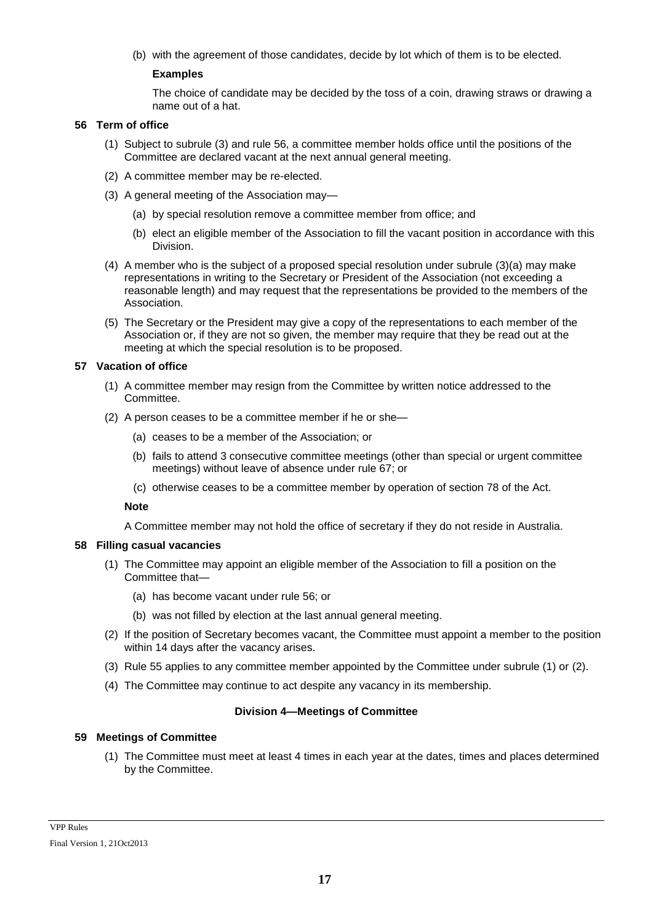(b) with the agreement of those candidates, decide by lot which of them is to be elected.

## **Examples**

The choice of candidate may be decided by the toss of a coin, drawing straws or drawing a name out of a hat.

### **56 Term of office**

- (1) Subject to subrule (3) and rule 56, a committee member holds office until the positions of the Committee are declared vacant at the next annual general meeting.
- (2) A committee member may be re-elected.
- (3) A general meeting of the Association may—
	- (a) by special resolution remove a committee member from office; and
	- (b) elect an eligible member of the Association to fill the vacant position in accordance with this Division.
- (4) A member who is the subject of a proposed special resolution under subrule (3)(a) may make representations in writing to the Secretary or President of the Association (not exceeding a reasonable length) and may request that the representations be provided to the members of the Association.
- (5) The Secretary or the President may give a copy of the representations to each member of the Association or, if they are not so given, the member may require that they be read out at the meeting at which the special resolution is to be proposed.

### **57 Vacation of office**

- (1) A committee member may resign from the Committee by written notice addressed to the Committee.
- (2) A person ceases to be a committee member if he or she—
	- (a) ceases to be a member of the Association; or
	- (b) fails to attend 3 consecutive committee meetings (other than special or urgent committee meetings) without leave of absence under rule 67; or
	- (c) otherwise ceases to be a committee member by operation of section 78 of the Act.

#### **Note**

A Committee member may not hold the office of secretary if they do not reside in Australia.

#### **58 Filling casual vacancies**

- (1) The Committee may appoint an eligible member of the Association to fill a position on the Committee that—
	- (a) has become vacant under rule 56; or
	- (b) was not filled by election at the last annual general meeting.
- (2) If the position of Secretary becomes vacant, the Committee must appoint a member to the position within 14 days after the vacancy arises.
- (3) Rule 55 applies to any committee member appointed by the Committee under subrule (1) or (2).
- (4) The Committee may continue to act despite any vacancy in its membership.

#### **Division 4—Meetings of Committee**

# **59 Meetings of Committee**

(1) The Committee must meet at least 4 times in each year at the dates, times and places determined by the Committee.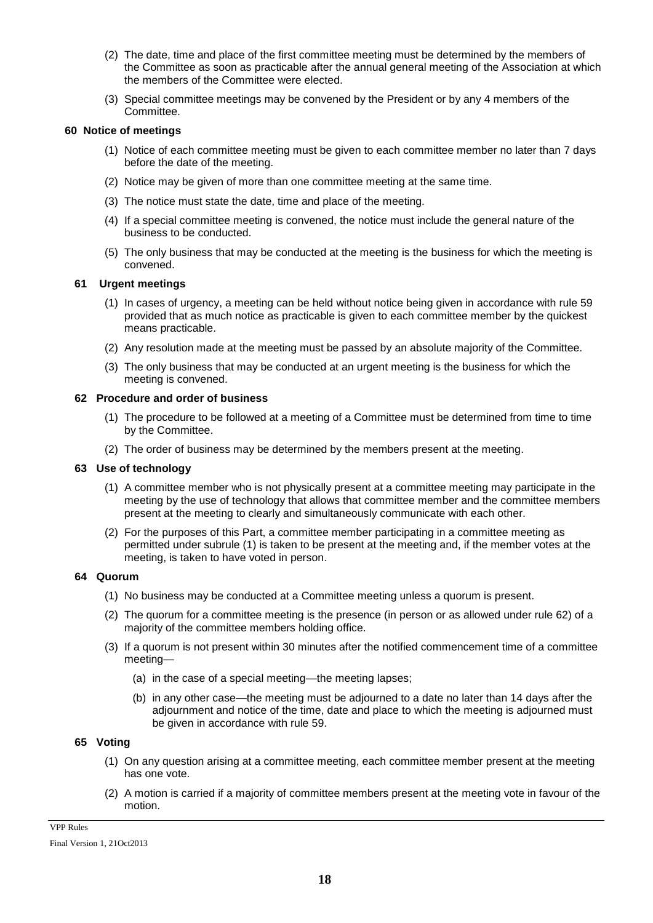- (2) The date, time and place of the first committee meeting must be determined by the members of the Committee as soon as practicable after the annual general meeting of the Association at which the members of the Committee were elected.
- (3) Special committee meetings may be convened by the President or by any 4 members of the Committee.

## **60 Notice of meetings**

- (1) Notice of each committee meeting must be given to each committee member no later than 7 days before the date of the meeting.
- (2) Notice may be given of more than one committee meeting at the same time.
- (3) The notice must state the date, time and place of the meeting.
- (4) If a special committee meeting is convened, the notice must include the general nature of the business to be conducted.
- (5) The only business that may be conducted at the meeting is the business for which the meeting is convened.

# **61 Urgent meetings**

- (1) In cases of urgency, a meeting can be held without notice being given in accordance with rule 59 provided that as much notice as practicable is given to each committee member by the quickest means practicable.
- (2) Any resolution made at the meeting must be passed by an absolute majority of the Committee.
- (3) The only business that may be conducted at an urgent meeting is the business for which the meeting is convened.

#### **62 Procedure and order of business**

- (1) The procedure to be followed at a meeting of a Committee must be determined from time to time by the Committee.
- (2) The order of business may be determined by the members present at the meeting.

#### **63 Use of technology**

- (1) A committee member who is not physically present at a committee meeting may participate in the meeting by the use of technology that allows that committee member and the committee members present at the meeting to clearly and simultaneously communicate with each other.
- (2) For the purposes of this Part, a committee member participating in a committee meeting as permitted under subrule (1) is taken to be present at the meeting and, if the member votes at the meeting, is taken to have voted in person.

#### **64 Quorum**

- (1) No business may be conducted at a Committee meeting unless a quorum is present.
- (2) The quorum for a committee meeting is the presence (in person or as allowed under rule 62) of a majority of the committee members holding office.
- (3) If a quorum is not present within 30 minutes after the notified commencement time of a committee meeting—
	- (a) in the case of a special meeting—the meeting lapses;
	- (b) in any other case—the meeting must be adjourned to a date no later than 14 days after the adjournment and notice of the time, date and place to which the meeting is adjourned must be given in accordance with rule 59.

# **65 Voting**

- (1) On any question arising at a committee meeting, each committee member present at the meeting has one vote.
- (2) A motion is carried if a majority of committee members present at the meeting vote in favour of the motion.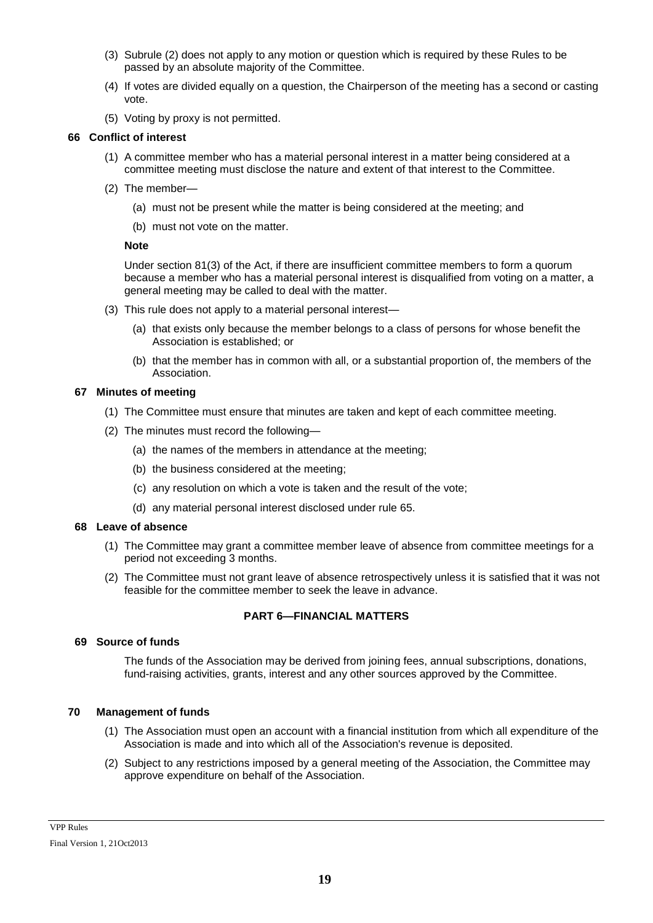- (3) Subrule (2) does not apply to any motion or question which is required by these Rules to be passed by an absolute majority of the Committee.
- (4) If votes are divided equally on a question, the Chairperson of the meeting has a second or casting vote.
- (5) Voting by proxy is not permitted.

## **66 Conflict of interest**

- (1) A committee member who has a material personal interest in a matter being considered at a committee meeting must disclose the nature and extent of that interest to the Committee.
- (2) The member—
	- (a) must not be present while the matter is being considered at the meeting; and
	- (b) must not vote on the matter.

### **Note**

Under section 81(3) of the Act, if there are insufficient committee members to form a quorum because a member who has a material personal interest is disqualified from voting on a matter, a general meeting may be called to deal with the matter.

- (3) This rule does not apply to a material personal interest—
	- (a) that exists only because the member belongs to a class of persons for whose benefit the Association is established; or
	- (b) that the member has in common with all, or a substantial proportion of, the members of the Association.

### **67 Minutes of meeting**

- (1) The Committee must ensure that minutes are taken and kept of each committee meeting.
- (2) The minutes must record the following—
	- (a) the names of the members in attendance at the meeting;
	- (b) the business considered at the meeting;
	- (c) any resolution on which a vote is taken and the result of the vote;
	- (d) any material personal interest disclosed under rule 65.

#### **68 Leave of absence**

- (1) The Committee may grant a committee member leave of absence from committee meetings for a period not exceeding 3 months.
- (2) The Committee must not grant leave of absence retrospectively unless it is satisfied that it was not feasible for the committee member to seek the leave in advance.

# **PART 6—FINANCIAL MATTERS**

# **69 Source of funds**

The funds of the Association may be derived from joining fees, annual subscriptions, donations, fund-raising activities, grants, interest and any other sources approved by the Committee.

#### **70 Management of funds**

- (1) The Association must open an account with a financial institution from which all expenditure of the Association is made and into which all of the Association's revenue is deposited.
- (2) Subject to any restrictions imposed by a general meeting of the Association, the Committee may approve expenditure on behalf of the Association.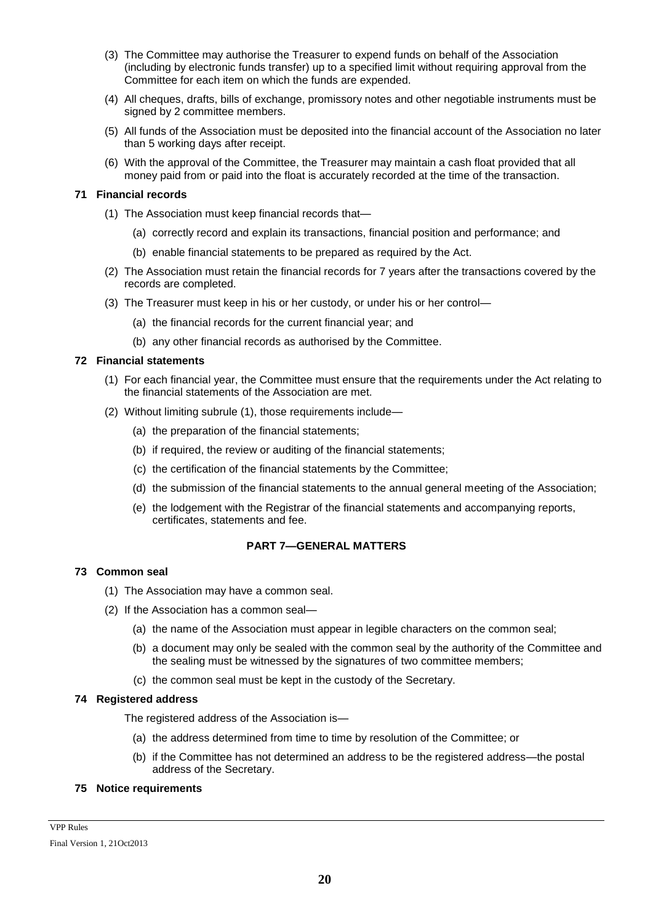- (3) The Committee may authorise the Treasurer to expend funds on behalf of the Association (including by electronic funds transfer) up to a specified limit without requiring approval from the Committee for each item on which the funds are expended.
- (4) All cheques, drafts, bills of exchange, promissory notes and other negotiable instruments must be signed by 2 committee members.
- (5) All funds of the Association must be deposited into the financial account of the Association no later than 5 working days after receipt.
- (6) With the approval of the Committee, the Treasurer may maintain a cash float provided that all money paid from or paid into the float is accurately recorded at the time of the transaction.

### **71 Financial records**

- (1) The Association must keep financial records that—
	- (a) correctly record and explain its transactions, financial position and performance; and
	- (b) enable financial statements to be prepared as required by the Act.
- (2) The Association must retain the financial records for 7 years after the transactions covered by the records are completed.
- (3) The Treasurer must keep in his or her custody, or under his or her control—
	- (a) the financial records for the current financial year; and
	- (b) any other financial records as authorised by the Committee.

### **72 Financial statements**

- (1) For each financial year, the Committee must ensure that the requirements under the Act relating to the financial statements of the Association are met.
- (2) Without limiting subrule (1), those requirements include—
	- (a) the preparation of the financial statements;
	- (b) if required, the review or auditing of the financial statements;
	- (c) the certification of the financial statements by the Committee;
	- (d) the submission of the financial statements to the annual general meeting of the Association;
	- (e) the lodgement with the Registrar of the financial statements and accompanying reports, certificates, statements and fee.

# **PART 7—GENERAL MATTERS**

# **73 Common seal**

- (1) The Association may have a common seal.
- (2) If the Association has a common seal—
	- (a) the name of the Association must appear in legible characters on the common seal;
	- (b) a document may only be sealed with the common seal by the authority of the Committee and the sealing must be witnessed by the signatures of two committee members;
	- (c) the common seal must be kept in the custody of the Secretary.

# **74 Registered address**

The registered address of the Association is—

- (a) the address determined from time to time by resolution of the Committee; or
- (b) if the Committee has not determined an address to be the registered address—the postal address of the Secretary.

# **75 Notice requirements**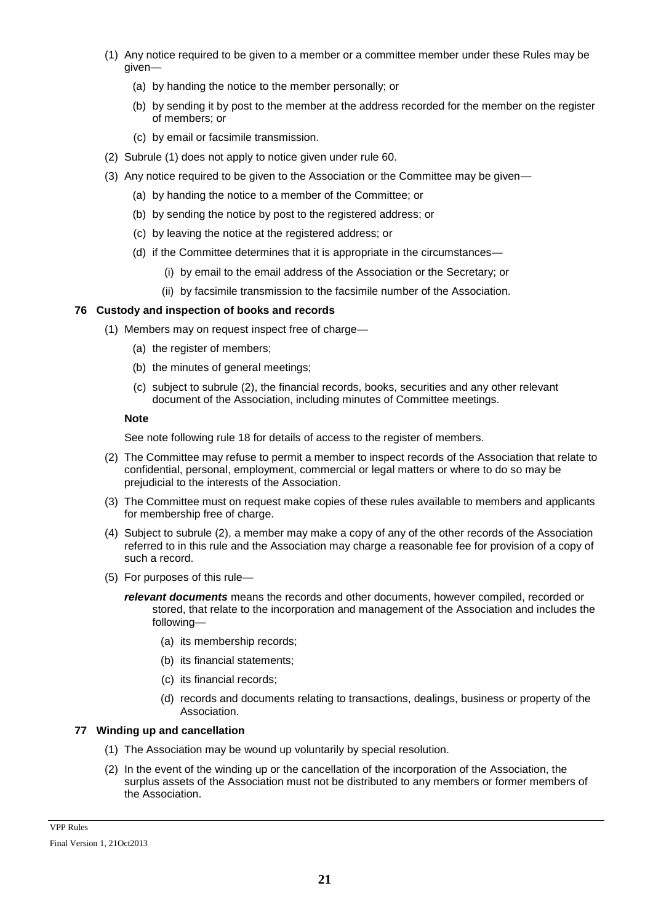- (1) Any notice required to be given to a member or a committee member under these Rules may be given—
	- (a) by handing the notice to the member personally; or
	- (b) by sending it by post to the member at the address recorded for the member on the register of members; or
	- (c) by email or facsimile transmission.
- (2) Subrule (1) does not apply to notice given under rule 60.
- (3) Any notice required to be given to the Association or the Committee may be given—
	- (a) by handing the notice to a member of the Committee; or
	- (b) by sending the notice by post to the registered address; or
	- (c) by leaving the notice at the registered address; or
	- (d) if the Committee determines that it is appropriate in the circumstances—
		- (i) by email to the email address of the Association or the Secretary; or
		- (ii) by facsimile transmission to the facsimile number of the Association.

### **76 Custody and inspection of books and records**

- (1) Members may on request inspect free of charge—
	- (a) the register of members;
	- (b) the minutes of general meetings;
	- (c) subject to subrule (2), the financial records, books, securities and any other relevant document of the Association, including minutes of Committee meetings.

#### **Note**

See note following rule 18 for details of access to the register of members.

- (2) The Committee may refuse to permit a member to inspect records of the Association that relate to confidential, personal, employment, commercial or legal matters or where to do so may be prejudicial to the interests of the Association.
- (3) The Committee must on request make copies of these rules available to members and applicants for membership free of charge.
- (4) Subject to subrule (2), a member may make a copy of any of the other records of the Association referred to in this rule and the Association may charge a reasonable fee for provision of a copy of such a record.
- (5) For purposes of this rule—

*relevant documents* means the records and other documents, however compiled, recorded or stored, that relate to the incorporation and management of the Association and includes the following—

- (a) its membership records;
- (b) its financial statements;
- (c) its financial records;
- (d) records and documents relating to transactions, dealings, business or property of the Association.

### **77 Winding up and cancellation**

- (1) The Association may be wound up voluntarily by special resolution.
- (2) In the event of the winding up or the cancellation of the incorporation of the Association, the surplus assets of the Association must not be distributed to any members or former members of the Association.